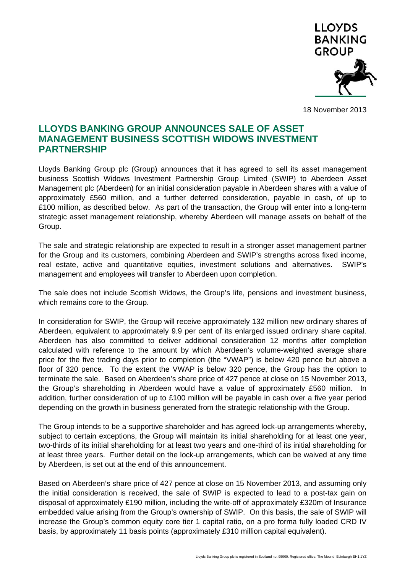

18 November 2013

## **LLOYDS BANKING GROUP ANNOUNCES SALE OF ASSET MANAGEMENT BUSINESS SCOTTISH WIDOWS INVESTMENT PARTNERSHIP**

Lloyds Banking Group plc (Group) announces that it has agreed to sell its asset management business Scottish Widows Investment Partnership Group Limited (SWIP) to Aberdeen Asset Management plc (Aberdeen) for an initial consideration payable in Aberdeen shares with a value of approximately £560 million, and a further deferred consideration, payable in cash, of up to £100 million, as described below. As part of the transaction, the Group will enter into a long-term strategic asset management relationship, whereby Aberdeen will manage assets on behalf of the Group.

The sale and strategic relationship are expected to result in a stronger asset management partner for the Group and its customers, combining Aberdeen and SWIP's strengths across fixed income, real estate, active and quantitative equities, investment solutions and alternatives. SWIP's management and employees will transfer to Aberdeen upon completion.

The sale does not include Scottish Widows, the Group's life, pensions and investment business, which remains core to the Group.

In consideration for SWIP, the Group will receive approximately 132 million new ordinary shares of Aberdeen, equivalent to approximately 9.9 per cent of its enlarged issued ordinary share capital. Aberdeen has also committed to deliver additional consideration 12 months after completion calculated with reference to the amount by which Aberdeen's volume-weighted average share price for the five trading days prior to completion (the "VWAP") is below 420 pence but above a floor of 320 pence. To the extent the VWAP is below 320 pence, the Group has the option to terminate the sale. Based on Aberdeen's share price of 427 pence at close on 15 November 2013, the Group's shareholding in Aberdeen would have a value of approximately £560 million. In addition, further consideration of up to £100 million will be payable in cash over a five year period depending on the growth in business generated from the strategic relationship with the Group.

The Group intends to be a supportive shareholder and has agreed lock-up arrangements whereby, subject to certain exceptions, the Group will maintain its initial shareholding for at least one year, two-thirds of its initial shareholding for at least two years and one-third of its initial shareholding for at least three years. Further detail on the lock-up arrangements, which can be waived at any time by Aberdeen, is set out at the end of this announcement.

Based on Aberdeen's share price of 427 pence at close on 15 November 2013, and assuming only the initial consideration is received, the sale of SWIP is expected to lead to a post-tax gain on disposal of approximately £190 million, including the write-off of approximately £320m of Insurance embedded value arising from the Group's ownership of SWIP. On this basis, the sale of SWIP will increase the Group's common equity core tier 1 capital ratio, on a pro forma fully loaded CRD IV basis, by approximately 11 basis points (approximately £310 million capital equivalent).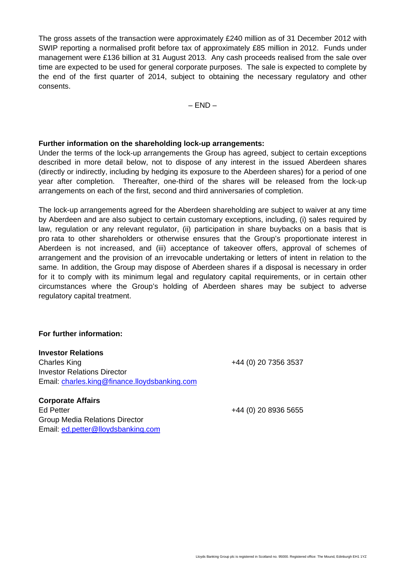The gross assets of the transaction were approximately £240 million as of 31 December 2012 with SWIP reporting a normalised profit before tax of approximately £85 million in 2012. Funds under management were £136 billion at 31 August 2013. Any cash proceeds realised from the sale over time are expected to be used for general corporate purposes. The sale is expected to complete by the end of the first quarter of 2014, subject to obtaining the necessary regulatory and other consents.

 $-$  END $-$ 

## **Further information on the shareholding lock-up arrangements:**

Under the terms of the lock-up arrangements the Group has agreed, subject to certain exceptions described in more detail below, not to dispose of any interest in the issued Aberdeen shares (directly or indirectly, including by hedging its exposure to the Aberdeen shares) for a period of one year after completion. Thereafter, one-third of the shares will be released from the lock-up arrangements on each of the first, second and third anniversaries of completion.

The lock-up arrangements agreed for the Aberdeen shareholding are subject to waiver at any time by Aberdeen and are also subject to certain customary exceptions, including, (i) sales required by law, regulation or any relevant regulator, (ii) participation in share buybacks on a basis that is pro rata to other shareholders or otherwise ensures that the Group's proportionate interest in Aberdeen is not increased, and (iii) acceptance of takeover offers, approval of schemes of arrangement and the provision of an irrevocable undertaking or letters of intent in relation to the same. In addition, the Group may dispose of Aberdeen shares if a disposal is necessary in order for it to comply with its minimum legal and regulatory capital requirements, or in certain other circumstances where the Group's holding of Aberdeen shares may be subject to adverse regulatory capital treatment.

## **For further information:**

**Investor Relations** 

Charles King +44 (0) 20 7356 3537 Investor Relations Director Email: charles.king@finance.lloydsbanking.com

**Corporate Affairs**  Ed Petter +44 (0) 20 8936 5655 Group Media Relations Director Email: ed.petter@lloydsbanking.com